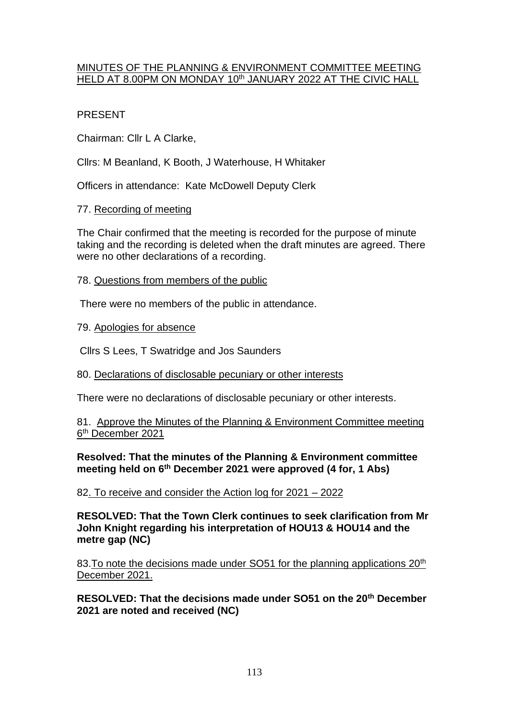## MINUTES OF THE PLANNING & ENVIRONMENT COMMITTEE MEETING HELD AT 8.00PM ON MONDAY 10<sup>th</sup> JANUARY 2022 AT THE CIVIC HALL

# PRESENT

Chairman: Cllr L A Clarke,

Cllrs: M Beanland, K Booth, J Waterhouse, H Whitaker

Officers in attendance: Kate McDowell Deputy Clerk

## 77. Recording of meeting

The Chair confirmed that the meeting is recorded for the purpose of minute taking and the recording is deleted when the draft minutes are agreed. There were no other declarations of a recording.

## 78. Questions from members of the public

There were no members of the public in attendance.

## 79. Apologies for absence

Cllrs S Lees, T Swatridge and Jos Saunders

### 80. Declarations of disclosable pecuniary or other interests

There were no declarations of disclosable pecuniary or other interests.

81. Approve the Minutes of the Planning & Environment Committee meeting 6<sup>th</sup> December 2021

### **Resolved: That the minutes of the Planning & Environment committee meeting held on 6th December 2021 were approved (4 for, 1 Abs)**

82. To receive and consider the Action log for 2021 – 2022

#### **RESOLVED: That the Town Clerk continues to seek clarification from Mr John Knight regarding his interpretation of HOU13 & HOU14 and the metre gap (NC)**

83. To note the decisions made under SO51 for the planning applications 20<sup>th</sup> December 2021.

**RESOLVED: That the decisions made under SO51 on the 20th December 2021 are noted and received (NC)**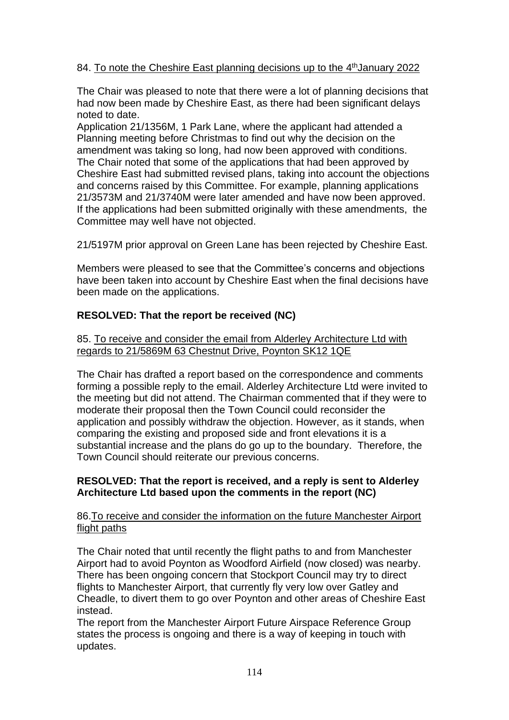## 84. To note the Cheshire East planning decisions up to the 4<sup>th</sup> January 2022

The Chair was pleased to note that there were a lot of planning decisions that had now been made by Cheshire East, as there had been significant delays noted to date.

Application 21/1356M, 1 Park Lane, where the applicant had attended a Planning meeting before Christmas to find out why the decision on the amendment was taking so long, had now been approved with conditions. The Chair noted that some of the applications that had been approved by Cheshire East had submitted revised plans, taking into account the objections and concerns raised by this Committee. For example, planning applications 21/3573M and 21/3740M were later amended and have now been approved. If the applications had been submitted originally with these amendments, the Committee may well have not objected.

21/5197M prior approval on Green Lane has been rejected by Cheshire East.

Members were pleased to see that the Committee's concerns and objections have been taken into account by Cheshire East when the final decisions have been made on the applications.

## **RESOLVED: That the report be received (NC)**

85. To receive and consider the email from Alderley Architecture Ltd with regards to 21/5869M 63 Chestnut Drive, Poynton SK12 1QE

The Chair has drafted a report based on the correspondence and comments forming a possible reply to the email. Alderley Architecture Ltd were invited to the meeting but did not attend. The Chairman commented that if they were to moderate their proposal then the Town Council could reconsider the application and possibly withdraw the objection. However, as it stands, when comparing the existing and proposed side and front elevations it is a substantial increase and the plans do go up to the boundary. Therefore, the Town Council should reiterate our previous concerns.

### **RESOLVED: That the report is received, and a reply is sent to Alderley Architecture Ltd based upon the comments in the report (NC)**

#### 86.To receive and consider the information on the future Manchester Airport flight paths

The Chair noted that until recently the flight paths to and from Manchester Airport had to avoid Poynton as Woodford Airfield (now closed) was nearby. There has been ongoing concern that Stockport Council may try to direct flights to Manchester Airport, that currently fly very low over Gatley and Cheadle, to divert them to go over Poynton and other areas of Cheshire East instead.

The report from the Manchester Airport Future Airspace Reference Group states the process is ongoing and there is a way of keeping in touch with updates.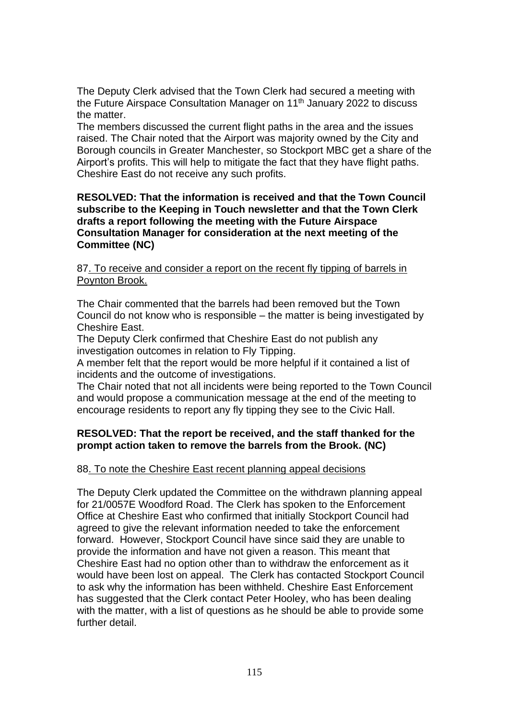The Deputy Clerk advised that the Town Clerk had secured a meeting with the Future Airspace Consultation Manager on 11<sup>th</sup> January 2022 to discuss the matter.

The members discussed the current flight paths in the area and the issues raised. The Chair noted that the Airport was majority owned by the City and Borough councils in Greater Manchester, so Stockport MBC get a share of the Airport's profits. This will help to mitigate the fact that they have flight paths. Cheshire East do not receive any such profits.

**RESOLVED: That the information is received and that the Town Council subscribe to the Keeping in Touch newsletter and that the Town Clerk drafts a report following the meeting with the Future Airspace Consultation Manager for consideration at the next meeting of the Committee (NC)**

87. To receive and consider a report on the recent fly tipping of barrels in Poynton Brook.

The Chair commented that the barrels had been removed but the Town Council do not know who is responsible – the matter is being investigated by Cheshire East.

The Deputy Clerk confirmed that Cheshire East do not publish any investigation outcomes in relation to Fly Tipping.

A member felt that the report would be more helpful if it contained a list of incidents and the outcome of investigations.

The Chair noted that not all incidents were being reported to the Town Council and would propose a communication message at the end of the meeting to encourage residents to report any fly tipping they see to the Civic Hall.

### **RESOLVED: That the report be received, and the staff thanked for the prompt action taken to remove the barrels from the Brook. (NC)**

### 88. To note the Cheshire East recent planning appeal decisions

The Deputy Clerk updated the Committee on the withdrawn planning appeal for 21/0057E Woodford Road. The Clerk has spoken to the Enforcement Office at Cheshire East who confirmed that initially Stockport Council had agreed to give the relevant information needed to take the enforcement forward. However, Stockport Council have since said they are unable to provide the information and have not given a reason. This meant that Cheshire East had no option other than to withdraw the enforcement as it would have been lost on appeal. The Clerk has contacted Stockport Council to ask why the information has been withheld. Cheshire East Enforcement has suggested that the Clerk contact Peter Hooley, who has been dealing with the matter, with a list of questions as he should be able to provide some further detail.